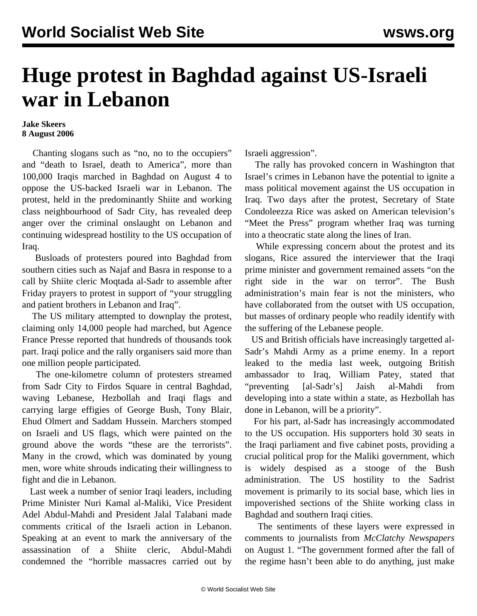## **Huge protest in Baghdad against US-Israeli war in Lebanon**

## **Jake Skeers 8 August 2006**

 Chanting slogans such as "no, no to the occupiers" and "death to Israel, death to America", more than 100,000 Iraqis marched in Baghdad on August 4 to oppose the US-backed Israeli war in Lebanon. The protest, held in the predominantly Shiite and working class neighbourhood of Sadr City, has revealed deep anger over the criminal onslaught on Lebanon and continuing widespread hostility to the US occupation of Iraq.

 Busloads of protesters poured into Baghdad from southern cities such as Najaf and Basra in response to a call by Shiite cleric Moqtada al-Sadr to assemble after Friday prayers to protest in support of "your struggling and patient brothers in Lebanon and Iraq".

 The US military attempted to downplay the protest, claiming only 14,000 people had marched, but Agence France Presse reported that hundreds of thousands took part. Iraqi police and the rally organisers said more than one million people participated.

 The one-kilometre column of protesters streamed from Sadr City to Firdos Square in central Baghdad, waving Lebanese, Hezbollah and Iraqi flags and carrying large effigies of George Bush, Tony Blair, Ehud Olmert and Saddam Hussein. Marchers stomped on Israeli and US flags, which were painted on the ground above the words "these are the terrorists". Many in the crowd, which was dominated by young men, wore white shrouds indicating their willingness to fight and die in Lebanon.

 Last week a number of senior Iraqi leaders, including Prime Minister Nuri Kamal al-Maliki, Vice President Adel Abdul-Mahdi and President Jalal Talabani made comments critical of the Israeli action in Lebanon. Speaking at an event to mark the anniversary of the assassination of a Shiite cleric, Abdul-Mahdi condemned the "horrible massacres carried out by Israeli aggression".

 The rally has provoked concern in Washington that Israel's crimes in Lebanon have the potential to ignite a mass political movement against the US occupation in Iraq. Two days after the protest, Secretary of State Condoleezza Rice was asked on American television's "Meet the Press" program whether Iraq was turning into a theocratic state along the lines of Iran.

 While expressing concern about the protest and its slogans, Rice assured the interviewer that the Iraqi prime minister and government remained assets "on the right side in the war on terror". The Bush administration's main fear is not the ministers, who have collaborated from the outset with US occupation, but masses of ordinary people who readily identify with the suffering of the Lebanese people.

 US and British officials have increasingly targetted al-Sadr's Mahdi Army as a prime enemy. In a report leaked to the media last week, outgoing British ambassador to Iraq, William Patey, stated that "preventing [al-Sadr's] Jaish al-Mahdi from developing into a state within a state, as Hezbollah has done in Lebanon, will be a priority".

 For his part, al-Sadr has increasingly accommodated to the US occupation. His supporters hold 30 seats in the Iraqi parliament and five cabinet posts, providing a crucial political prop for the Maliki government, which is widely despised as a stooge of the Bush administration. The US hostility to the Sadrist movement is primarily to its social base, which lies in impoverished sections of the Shiite working class in Baghdad and southern Iraqi cities.

 The sentiments of these layers were expressed in comments to journalists from *McClatchy Newspapers* on August 1. "The government formed after the fall of the regime hasn't been able to do anything, just make